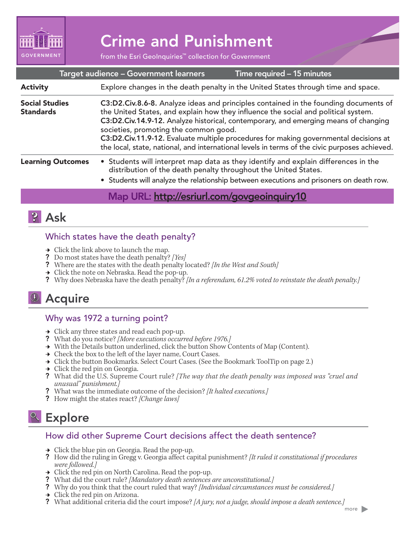

# Crime and Punishment

from the Esri GeoInquiries™ collection for Government

| Target audience - Government learners<br>Time required - 15 minutes |                                                                                                                                                                                                                                                                                                                                                                                                                                                                                                     |
|---------------------------------------------------------------------|-----------------------------------------------------------------------------------------------------------------------------------------------------------------------------------------------------------------------------------------------------------------------------------------------------------------------------------------------------------------------------------------------------------------------------------------------------------------------------------------------------|
| <b>Activity</b>                                                     | Explore changes in the death penalty in the United States through time and space.                                                                                                                                                                                                                                                                                                                                                                                                                   |
| <b>Social Studies</b><br><b>Standards</b>                           | C3:D2.Civ.8.6-8. Analyze ideas and principles contained in the founding documents of<br>the United States, and explain how they influence the social and political system.<br>C3:D2.Civ.14.9-12. Analyze historical, contemporary, and emerging means of changing<br>societies, promoting the common good.<br>C3:D2.Civ.11.9-12. Evaluate multiple procedures for making governmental decisions at<br>the local, state, national, and international levels in terms of the civic purposes achieved. |
| <b>Learning Outcomes</b>                                            | • Students will interpret map data as they identify and explain differences in the<br>distribution of the death penalty throughout the United States.<br>• Students will analyze the relationship between executions and prisoners on death row.                                                                                                                                                                                                                                                    |

#### Map URL: http://esriurl.com/govgeoinquiry10

# **2** Ask

#### Which states have the death penalty?

- $\rightarrow$  Click the link above to launch the map.
- ? Do most states have the death penalty? *[Yes]*
- ? Where are the states with the death penalty located? *[In the West and South]*
- $\rightarrow$  Click the note on Nebraska. Read the pop-up.
- ? Why does Nebraska have the death penalty? *[In a referendum, 61.2% voted to reinstate the death penalty.]*

# **D** Acquire

#### Why was 1972 a turning point?

- **→** Click any three states and read each pop-up.
- ? What do you notice? *[More executions occurred before 1976.]*
- → With the Details button underlined, click the button Show Contents of Map (Content).
- → Check the box to the left of the layer name, Court Cases.
- → Click the button Bookmarks. Select Court Cases. (See the Bookmark ToolTip on page 2.)
- $\rightarrow$  Click the red pin on Georgia.
- ? What did the U.S. Supreme Court rule? *[The way that the death penalty was imposed was "cruel and unusual" punishment.]*
- ? What was the immediate outcome of the decision? *[It halted executions.]*
- ? How might the states react? *[Change laws]*

# **& Explore**

#### How did other Supreme Court decisions affect the death sentence?

- $\rightarrow$  Click the blue pin on Georgia. Read the pop-up.
- ? How did the ruling in Gregg v. Georgia affect capital punishment? *[It ruled it constitutional if procedures were followed.]*
- $\rightarrow$  Click the red pin on North Carolina. Read the pop-up.
- ? What did the court rule? *[Mandatory death sentences are unconstitutional.]*
- ? Why do you think that the court ruled that way? *[Individual circumstances must be considered.]*
- $\rightarrow$  Click the red pin on Arizona.
- ? What additional criteria did the court impose? *[A jury, not a judge, should impose a death sentence.]*